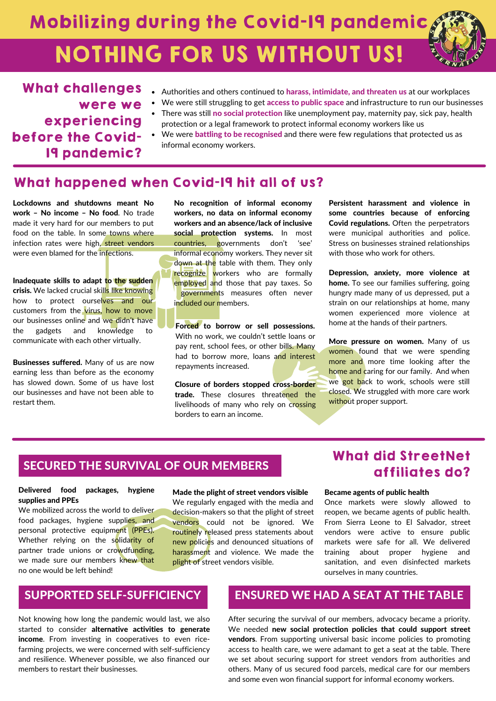# Mobilizing during the Covid-19 pandemic NOTHING FOR US WITHOUT US!

#### What challenges were we experiencing before the Covid-19 pandemic? • Authorities and others continued to harass, intimidate, and threaten us at our workplaces We were still struggling to get access to public space and infrastructure to run our businesses There was still no social protection like unemployment pay, maternity pay, sick pay, health protection or a legal framework to protect informal economy workers like us We were battling to be recognised and there were few regulations that protected us as informal economy workers.

## What happened when Covid-19 hit all of us?

Lockdowns and shutdowns meant No work – No income – No food. No trade made it very hard for our members to put food on the table. In some towns where infection rates were high, street vendors were even blamed for the infections.

Inadequate skills to adapt to the sudden crisis. We lacked crucial skills like knowing how to protect ourselves and our customers from the virus, how to move our businesses online and we didn't have the gadgets and knowledge to communicate with each other virtually.

Businesses suffered. Many of us are now earning less than before as the economy has slowed down. Some of us have lost our businesses and have not been able to restart them.

No recognition of informal economy workers, no data on informal economy workers and an absence/lack of inclusive social protection systems. In most countries, governments don't 'see' informal economy workers. They never sit down at the table with them. They only recognize workers who are formally employed and those that pay taxes. So governments measures often never included our members.

Forced to borrow or sell possessions. With no work, we couldn't settle loans or pay rent, school fees, or other bills. Many had to borrow more, loans and interest repayments increased.

Closure of borders stopped cross-border trade. These closures threatened the livelihoods of many who rely on crossing borders to earn an income.

Persistent harassment and violence in some countries because of enforcing Covid regulations. Often the perpetrators were municipal authorities and police. Stress on businesses strained relationships with those who work for others.

Depression, anxiety, more violence at home. To see our families suffering, going hungry made many of us depressed, put a strain on our relationships at home, many women experienced more violence at home at the hands of their partners.

More pressure on women. Many of us women found that we were spending more and more time looking after the home and caring for our family. And when we got back to work, schools were still closed. We struggled with more care work without proper support.

## SECURED THE SURVIVAL OF OUR MEMBERS

### Delivered food packages, hygiene supplies and PPEs

We mobilized across the world to deliver food packages, hygiene supplies, and personal protective equipment (PPEs). Whether relying on the solidarity of partner trade unions or crowdfunding, we made sure our members knew that no one would be left behind!

### Made the plight of street vendors visible

We regularly engaged with the media and decision-makers so that the plight of street vendors could not be ignored. We routinely released press statements about new policies and denounced situations of harassment and violence. We made the plight of street vendors visible.

# What did StreetNet affiliates do?

#### Became agents of public health

Once markets were slowly allowed to reopen, we became agents of public health. From Sierra Leone to El Salvador, street vendors were active to ensure public markets were safe for all. We delivered training about proper hygiene and sanitation, and even disinfected markets ourselves in many countries.

## SUPPORTED SELF-SUFFICIENCY

Not knowing how long the pandemic would last, we also started to consider alternative activities to generate income. From investing in cooperatives to even ricefarming projects, we were concerned with self-sufficiency and resilience. Whenever possible, we also financed our members to restart their businesses.

# ENSURED WE HAD A SEAT AT THE TABLE

After securing the survival of our members, advocacy became a priority. We needed new social protection policies that could support street vendors. From supporting universal basic income policies to promoting access to health care, we were adamant to get a seat at the table. There we set about securing support for street vendors from authorities and others. Many of us secured food parcels, medical care for our members and some even won financial support for informal economy workers.